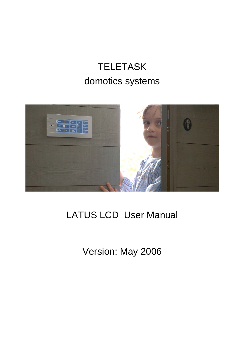# **TELETASK** domotics systems



# LATUS LCD User Manual

Version: May 2006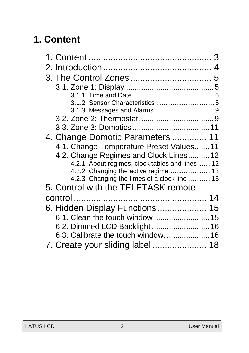# <span id="page-2-0"></span>**1. Content**

|                                                  | 4 |
|--------------------------------------------------|---|
|                                                  | 5 |
|                                                  |   |
|                                                  |   |
|                                                  |   |
|                                                  |   |
|                                                  |   |
|                                                  |   |
| 4. Change Domotic Parameters  11                 |   |
| 4.1. Change Temperature Preset Values 11         |   |
| 4.2. Change Regimes and Clock Lines 12           |   |
| 4.2.1. About regimes, clock tables and lines  12 |   |
|                                                  |   |
| 4.2.3. Changing the times of a clock line 13     |   |
| 5. Control with the TELETASK remote              |   |
|                                                  |   |
| 6. Hidden Display Functions 15                   |   |
| 6.1. Clean the touch window  15                  |   |
| 6.2. Dimmed LCD Backlight 16                     |   |
| 6.3. Calibrate the touch window.  16             |   |
| 7. Create your sliding label  18                 |   |
|                                                  |   |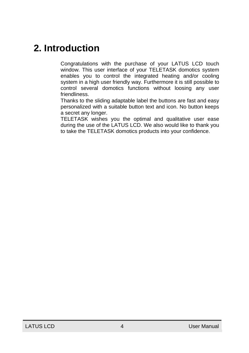## <span id="page-3-0"></span>**2. Introduction**

Congratulations with the purchase of your LATUS LCD touch window. This user interface of your TELETASK domotics system enables you to control the integrated heating and/or cooling system in a high user friendly way. Furthermore it is still possible to control several domotics functions without loosing any user friendliness.

Thanks to the sliding adaptable label the buttons are fast and easy personalized with a suitable button text and icon. No button keeps a secret any longer.

TELETASK wishes you the optimal and qualitative user ease during the use of the LATUS LCD. We also would like to thank you to take the TELETASK domotics products into your confidence.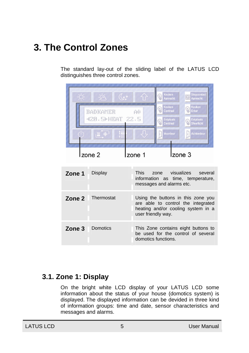# <span id="page-4-0"></span>**3. The Control Zones**

The standard lay-out of the sliding label of the LATUS LCD distinguishes three control zones.

|        | $\mathbb{Q}_{\mathfrak{s}^{\mathfrak{B}}}$ |                    | Keuken<br>Aanrecht                          | <b>Stopcontact</b><br>$\odot$<br>Aanrecht                                                                      |
|--------|--------------------------------------------|--------------------|---------------------------------------------|----------------------------------------------------------------------------------------------------------------|
|        | BADKAMER                                   | A                  | Keuken<br>Centraal                          | Keuken<br>Erker                                                                                                |
|        | $-420.5$ HEAT $22.5$                       |                    | <b>Eetplaats</b><br>Centraal                | <b>Eetplaats</b><br><b>Sfeerlicht</b>                                                                          |
|        |                                            |                    | Voordeur                                    | Achterdeur                                                                                                     |
|        |                                            |                    |                                             |                                                                                                                |
|        | zone $2$                                   | zone 1             | Izone 3                                     |                                                                                                                |
| Zone 1 | Display                                    | This               | zone visualizes<br>messages and alarms etc. | several<br>information as time, temperature,                                                                   |
| Zone 2 | Thermostat                                 | user friendly way. |                                             | Using the buttons in this zone you<br>are able to control the integrated<br>heating and/or cooling system in a |
| Zone 3 | Domotics                                   |                    | domotics functions.                         | This Zone contains eight buttons to<br>be used for the control of several                                      |

#### **3.1. Zone 1: Display**

On the bright white LCD display of your LATUS LCD some information about the status of your house (domotics system) is displayed. The displayed information can be devided in three kind of information groups: time and date, sensor characteristics and messages and alarms.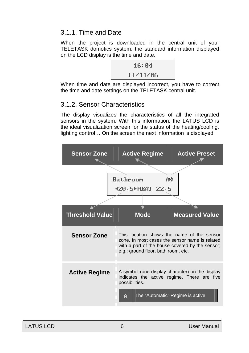#### <span id="page-5-0"></span>3.1.1. Time and Date

When the project is downloaded in the central unit of your TELETASK domotics system, the standard information displayed on the LCD display is the time and date.

| 16:04    |  |
|----------|--|
| 11/11/06 |  |

When time and date are displayed incorrect, you have to correct the time and date settings on the TELETASK central unit.

#### 3.1.2. Sensor Characteristics

The display visualizes the characteristics of all the integrated sensors in the system. With this information, the LATUS LCD is the ideal visualization screen for the status of the heating/cooling, lighting control… On the screen the next information is displayed.

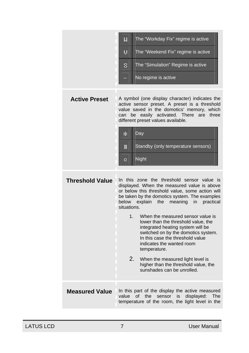|                        | The "Workday Fix" regime is active<br>M<br>U<br>The "Weekend Fix" regime is active<br>The "Simulation" Regime is active<br>S<br>No regime is active                                                                                                                                                                                                                                                                                                                                                                                                                                                                                             |
|------------------------|-------------------------------------------------------------------------------------------------------------------------------------------------------------------------------------------------------------------------------------------------------------------------------------------------------------------------------------------------------------------------------------------------------------------------------------------------------------------------------------------------------------------------------------------------------------------------------------------------------------------------------------------------|
| <b>Active Preset</b>   | A symbol (one display character) indicates the<br>active sensor preset. A preset is a threshold<br>value saved in the domotics' memory, which<br>can be easily activated. There<br>three<br>are<br>different preset values available.<br>Day<br>∗<br>Standby (only temperature sensors)<br>Ħ.<br><b>Night</b><br>o                                                                                                                                                                                                                                                                                                                              |
| <b>Threshold Value</b> | In this zone the threshold sensor value is<br>displayed. When the measured value is above<br>or below this threshold value, some action will<br>be taken by the domotics system. The examples<br>below<br>explain<br>the<br>meaning<br>practical<br>$\mathsf{in}$<br>situations.<br>1.<br>When the measured sensor value is<br>lower than the threshold value, the<br>integrated heating system will be<br>switched on by the domotics system.<br>In this case the threshold value<br>indicates the wanted room<br>temperature.<br>2.<br>When the measured light level is<br>higher than the threshold value, the<br>sunshades can be unrolled. |
| <b>Measured Value</b>  | In this part of the display the active measured<br>the<br>sensor<br>displayed:<br>value<br>of l<br>is<br>The<br>temperature of the room, the light level in the                                                                                                                                                                                                                                                                                                                                                                                                                                                                                 |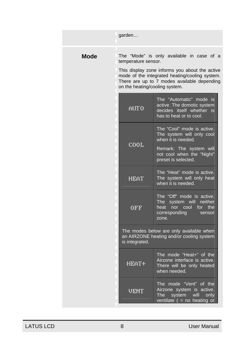|      | garden                                                |                                                                                                                                                                                              |  |
|------|-------------------------------------------------------|----------------------------------------------------------------------------------------------------------------------------------------------------------------------------------------------|--|
| Mode | temperature sensor.<br>on the heating/cooling system. | The "Mode" is only available in case of a<br>This display zone informs you about the active<br>mode of the integrated heating/cooling system.<br>There are up to 7 modes available depending |  |
|      | ALTO                                                  | The "Automatic" mode is<br>active. The domotic system<br>decides itself whether is<br>has to heat or to cool.                                                                                |  |
|      |                                                       | The "Cool" mode is active.<br>The system will only cool<br>when it is needed.                                                                                                                |  |
|      | COOL.                                                 | Remark: The system will<br>not cool when the "Night"<br>preset is selected.                                                                                                                  |  |
|      | HEAT                                                  | The "Heat" mode is active.<br>The system will only heat<br>when it is needed.                                                                                                                |  |
|      | OFF                                                   | The "Off" mode is active.<br>The system will neither<br>heat nor cool for<br>the<br>corresponding<br>sensor<br>zone.                                                                         |  |
|      | is integrated.                                        | The modes below are only available when<br>an AIRZONE heating and/or cooling system                                                                                                          |  |
|      | <b>HEAT+</b>                                          | The mode "Heat+" of the<br>Airzone interface is active.<br>There will be only heated<br>when needed.                                                                                         |  |
|      | UEN                                                   | The mode "Vent" of the<br>Airzone system is active.<br>The l<br>system<br>will<br>only<br>ventilate $($ = no heating or                                                                      |  |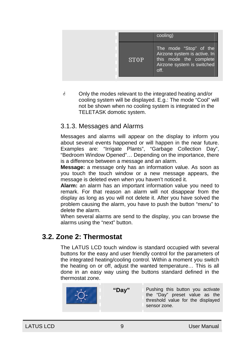<span id="page-8-0"></span>

|  | cooling)                                                                                                               |
|--|------------------------------------------------------------------------------------------------------------------------|
|  | The mode "Stop" of the<br>Airzone system is active. In<br>this mode the complete<br>Airzone system is switched<br>off. |

*A* Only the modes relevant to the integrated heating and/or cooling system will be displayed. E.g.: The mode "Cool" will not be shown when no cooling system is integrated in the TELETASK domotic system.

#### 3.1.3. Messages and Alarms

Messages and alarms will appear on the display to inform you about several events happened or will happen in the near future. Examples are: "Irrigate Plants", "Garbage Collection Day", "Bedroom Window Opened"… Depending on the importance, there is a difference between a message and an alarm.

**Message:** a message only has an information value. As soon as you touch the touch window or a new message appears, the message is deleted even when you haven't noticed it.

**Alarm:** an alarm has an important information value you need to remark. For that reason an alarm will not disappear from the display as long as you will not delete it. After you have solved the problem causing the alarm, you have to push the button "menu" to delete the alarm.

When several alarms are send to the display, you can browse the alarms using the "next" button.

#### **3.2. Zone 2: Thermostat**

The LATUS LCD touch window is standard occupied with several buttons for the easy and user friendly control for the parameters of the integrated heating/cooling control. Within a moment you switch the heating on or off, adjust the wanted temperature… This is all done in an easy way using the buttons standard defined in the thermostat zone.



"Dav" Pushing this button you activate the "Day" preset value as the threshold value for the displayed sensor zone.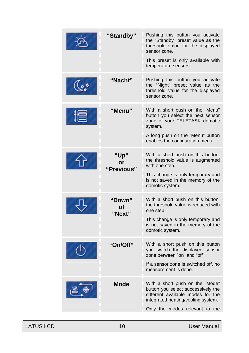| "Standby"                | Pushing this button you activate<br>the "Standby" preset value as the<br>threshold value for the displayed<br>sensor zone.<br>This preset is only available with<br>temperature sensors. |
|--------------------------|------------------------------------------------------------------------------------------------------------------------------------------------------------------------------------------|
| "Nacht"                  | Pushing this button you activate<br>the "Night" preset value as the<br>threshold value for the displayed<br>sensor zone.                                                                 |
| "Menu"                   | With a short push on the "Menu"<br>button you select the next sensor<br>zone of your TELETASK domotic<br>system.<br>A long push on the "Menu" button<br>enables the configuration menu.  |
| "Up"<br>or<br>"Previous" | With a short push on this button,<br>the threshold value is augmented<br>with one step.<br>This change is only temporary and<br>is not saved in the memory of the<br>domotic system.     |
| "Down"<br>Οf<br>"Next"   | With a short push on this button,<br>the threshold value is reduced with<br>one step.<br>This change is only temporary and<br>is not saved in the memory of the<br>domotic system.       |
| "On/Off"                 | With a short push on this button<br>you switch the displayed sensor<br>zone between "on" and "off"<br>If a sensor zone is switched off, no<br>measurement is done.                       |
| <b>Mode</b>              | With a short push on the "Mode"<br>button you select successively the<br>different available modes for the<br>integrated heating/cooling system.<br>Only the modes relevant to the       |

LATUS LCD 10 10 User Manual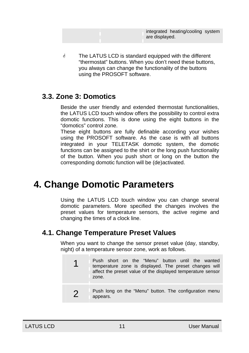integrated heating/cooling system are displayed.

<span id="page-10-0"></span>*i* The LATUS LCD is standard equipped with the different "thermostat" buttons. When you don't need these buttons, you always can change the functionality of the buttons using the PROSOFT software.

#### **3.3. Zone 3: Domotics**

Beside the user friendly and extended thermostat functionalities, the LATUS LCD touch window offers the possibility to control extra domotic functions. This is done using the eight buttons in the "domotics" control zone.

These eight buttons are fully definable according your wishes using the PROSOFT software. As the case is with all buttons integrated in your TELETASK domotic system, the domotic functions can be assigned to the shirt or the long push functionality of the button. When you push short or long on the button the corresponding domotic function will be (de)activated.

## **4. Change Domotic Parameters**

Using the LATUS LCD touch window you can change several domotic parameters. More specified the changes involves the preset values for temperature sensors, the active regime and changing the times of a clock line.

### **4.1. Change Temperature Preset Values**

When you want to change the sensor preset value (day, standby, night) of a temperature sensor zone, work as follows.

- 1 Push short on the "Menu" button until the wanted temperature zone is displayed. The preset changes will affect the preset value of the displayed temperature sensor zone.
- **2** Push long on the "Menu" button. The configuration menu appears.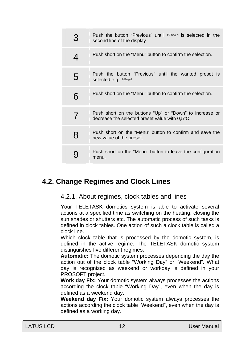<span id="page-11-0"></span>

| З | Push the button "Previous" untill FIEmp <sup>4</sup> is selected in the<br>second line of the display     |
|---|-----------------------------------------------------------------------------------------------------------|
| 4 | Push short on the "Menu" button to confirm the selection.                                                 |
| 5 | Push the button "Previous" until the wanted preset is<br>selected e.g. ▶ Day◀                             |
| 6 | Push short on the "Menu" button to confirm the selection.                                                 |
| 7 | Push short on the buttons "Up" or "Down" to increase or<br>decrease the selected preset value with 0.5°C. |
| 8 | Push short on the "Menu" button to confirm and save the<br>new value of the preset.                       |
|   | Push short on the "Menu" button to leave the configuration<br>menu.                                       |

### **4.2. Change Regimes and Clock Lines**

#### 4.2.1. About regimes, clock tables and lines

Your TELETASK domotics system is able to activate several actions at a specified time as switching on the heating, closing the sun shades or shutters etc. The automatic process of such tasks is defined in clock tables. One action of such a clock table is called a clock line.

Which clock table that is processed by the domotic system, is defined in the active regime. The TELETASK domotic system distinguishes five different regimes.

**Automatic:** The domotic system processes depending the day the action out of the clock table "Working Day" or "Weekend". What day is recognized as weekend or workday is defined in your PROSOFT project.

**Work day Fix:** Your domotic system always processes the actions according the clock table "Working Day", even when the day is defined as a weekend day.

**Weekend day Fix:** Your domotic system always processes the actions according the clock table "Weekend", even when the day is defined as a working day.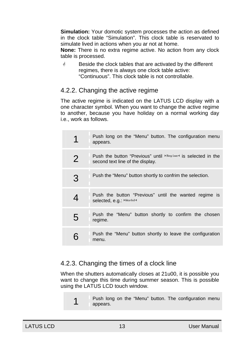<span id="page-12-0"></span>**Simulation:** Your domotic system processes the action as defined in the clock table "Simulation". This clock table is reservated to simulate lived in actions when you ar not at home.

**None:** There is no extra regime active. No action from any clock table is processed.

 $\dot{\phi}$  Beside the clock tables that are activated by the different regimes, there is always one clock table active: "Continuous". This clock table is not controllable.

#### 4.2.2. Changing the active regime

The active regime is indicated on the LATUS LCD display with a one character symbol. When you want to change the active regime to another, because you have holiday on a normal working day i.e., work as follows.

|   | Push long on the "Menu" button. The configuration menu<br>appears.                                           |
|---|--------------------------------------------------------------------------------------------------------------|
| 2 | Push the button "Previous" until FRegime <sup>4</sup> is selected in the<br>second text line of the display. |
| 3 | Push the "Menu" button shortly to confrim the selection.                                                     |
| 4 | Push the button "Previous" until the wanted regime is<br>selected, e.g.: ▶ Workd◀                            |
| 5 | Push the "Menu" button shortly to confirm the chosen<br>regime.                                              |
|   | Push the "Menu" button shortly to leave the configuration<br>menu.                                           |

#### 4.2.3. Changing the times of a clock line

When the shutters automatically closes at 21u00, it is possible you want to change this time during summer season. This is possible using the LATUS LCD touch window.

1 Push long on the "Menu" button. The configuration menu appears.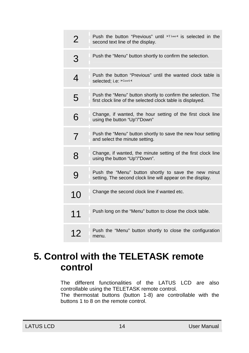<span id="page-13-0"></span>

| 2              | Push the button "Previous" until Fime4 is selected in the<br>second text line of the display.                              |
|----------------|----------------------------------------------------------------------------------------------------------------------------|
| 3              | Push the "Menu" button shortly to confirm the selection.                                                                   |
| 4              | Push the button "Previous" until the wanted clock table is<br>selected; i.e. ▶ Cont◀                                       |
| 5              | Push the "Menu" button shortly to confirm the selection. The<br>first clock line of the selected clock table is displayed. |
| 6              | Change, if wanted, the hour setting of the first clock line<br>using the button "Up"/"Down"                                |
| $\overline{7}$ | Push the "Menu" button shortly to save the new hour setting<br>and select the minute setting.                              |
| 8              | Change, if wanted, the minute setting of the first clock line<br>using the button "Up"/"Down".                             |
| 9              | Push the "Menu" button shortly to save the new minut<br>setting. The second clock line will appear on the display.         |
| 10             | Change the second clock line if wanted etc.                                                                                |
| 11             | Push long on the "Menu" button to close the clock table.                                                                   |
| 12             | Push the "Menu" button shortly to close the configuration<br>menu.                                                         |

## **5. Control with the TELETASK remote control**

The different functionalities of the LATUS LCD are also controllable using the TELETASK remote control.

The thermostat buttons (button 1-8) are controllable with the buttons 1 to 8 on the remote control.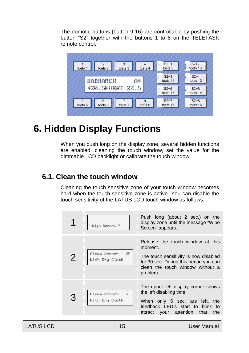<span id="page-14-0"></span>The domotic buttons (button 9-16) are controllable by pushing the button "S2" together with the buttons 1 to 8 on the TELETASK remote control.



## **6. Hidden Display Functions**

When you push long on the display zone, several hidden functions are enabled: cleaning the touch window, set the value for the dimmable LCD backlight or calibrate the touch window.

### **6.1. Clean the touch window**

Cleaning the touch sensitive zone of your touch window becomes hard when the touch sensitive zone is active. You can disable the touch sensitivity of the LATUS LCD touch window as follows.

| Wipe Screen ?                       | Push long (about 2 sec.) on the<br>display zone until the message "Wipe<br>Screen" appears.                                                                                            |
|-------------------------------------|----------------------------------------------------------------------------------------------------------------------------------------------------------------------------------------|
| Clean Screen<br>2<br>With Dry Cloth | Release the touch window at this<br>moment.<br>25<br>The touch sensitivity is now disabled<br>for 30 sec. During this period you can<br>clean the touch window without a<br>problem.   |
| Clean Screen<br>With Dry Cloth      | The upper left display corner shows<br>the left disabling time.<br>5<br>When only 5 sec. are left, the<br>feedback LED's start to blink to<br>your attention<br>attract<br>that<br>the |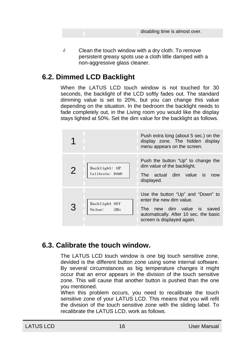<span id="page-15-0"></span> $\mathcal Y$  Clean the touch window with a dry cloth. To remove persistent greasy spots use a cloth litlle damped with a non-aggressive glass cleaner.

### **6.2. Dimmed LCD Backlight**

When the LATUS LCD touch window is not touched for 30 seconds, the backlight of the LCD softly fades out. The standard dimming value is set to 20%, but you can change this value depending on the situation. In the bedroom the backlight needs to fade completely out, in the Living room you would like the display stays lighted at 50%. Set the dim value for the backlight as follows.

|   |                                  | Push extra long (about 5 sec.) on the<br>display zone. The hidden display<br>menu appears on the screen.                                                               |
|---|----------------------------------|------------------------------------------------------------------------------------------------------------------------------------------------------------------------|
| 2 | Backlight: UP<br>Calibrate: DOWN | Push the button "Up" to change the<br>dim value of the backlight.<br>The actual dim value is<br>now<br>displayed.                                                      |
|   | Backlight Off<br>20x<br>Value:   | Use the button "Up" and "Down" to<br>enter the new dim value.<br>new dim value is saved<br>The<br>automatically. After 10 sec. the basic<br>screen is displayed again. |

#### **6.3. Calibrate the touch window.**

The LATUS LCD touch window is one big touch sensitive zone, devided is the different button zone using some internal software. By several circumstances as big temperature changes it might occur that an error appears in the division of the touch sensitive zone. This will cause that another button is pushed than the one you mentioned.

When this problem occurs, you need to recalibrate the touch sensitive zone of your LATUS LCD. This means that you will refit the division of the touch sensitive zone with the sliding label. To recalibrate the LATUS LCD, work as follows.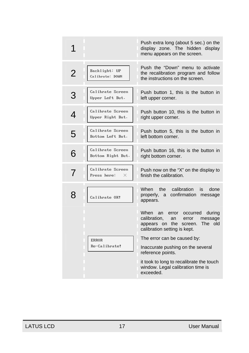|                |                                       | Push extra long (about 5 sec.) on the<br>display zone. The hidden display<br>menu appears on the screen.                                                 |
|----------------|---------------------------------------|----------------------------------------------------------------------------------------------------------------------------------------------------------|
| $\overline{2}$ | Backlight: UP<br>Calibrate: DOWN      | Push the "Down" menu to activate<br>the recalibration program and follow<br>the instructions on the screen.                                              |
| З              | Calibrate Screen<br>Upper Left But.   | Push button 1, this is the button in<br>left upper corner.                                                                                               |
| 4              | Calibrate Screen<br>Upper Right But.  | Push button 10, this is the button in<br>right upper corner.                                                                                             |
| 5              | Calibrate Screen<br>Bottom Left But.  | Push button 5, this is the button in<br>left bottom corner.                                                                                              |
| 6              | Calibrate Screen<br>Bottom Right But. | Push button 16, this is the button in<br>right bottom corner.                                                                                            |
| 7              | Calibrate Screen<br>Press here:<br>×  | Push now on the "X" on the display to<br>finish the calibration.                                                                                         |
| 8              | Calibrate OK?                         | When the<br>calibration<br>is<br>done<br>confirmation message<br>properly, a<br>appears.                                                                 |
|                |                                       | When an<br>occurred during<br>error<br>calibration.<br>message<br>an<br>error<br>The old<br>the<br>screen.<br>appears on<br>calibration setting is kept. |
|                | <b>ERROR</b>                          | The error can be caused by:                                                                                                                              |
|                | Re-Calibrate?                         | Inaccurate pushing on the several<br>reference points.                                                                                                   |
|                |                                       | it took to long to recalibrate the touch<br>window. Legal calibration time is<br>exceeded.                                                               |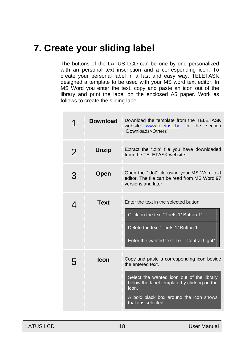### <span id="page-17-0"></span>**7. Create your sliding label**

The buttons of the LATUS LCD can be one by one personalized with an personal text inscription and a corresponding icon. To create your personal label in a fast and easy way, TELETASK designed a template to be used with your MS word text editor. In MS Word you enter the text, copy and paste an icon out of the library and print the label on the enclosed A5 paper. Work as follows to create the sliding label.

|   | Download     | Download the template from the TELETASK<br>website<br>www.teletask.be<br>in the section<br>"Downloads>Others"                                                                                                                          |
|---|--------------|----------------------------------------------------------------------------------------------------------------------------------------------------------------------------------------------------------------------------------------|
| 2 | <b>Unzip</b> | Extract the ".zip" file you have downloaded<br>from the TELETASK website.                                                                                                                                                              |
| 3 | Open         | Open the ".dot" file using your MS Word text<br>editor. The file can be read from MS Word 97<br>versions and later.                                                                                                                    |
| 4 | <b>Text</b>  | Enter the text in the selected button.<br>Click on the text "Toets 1/ Button 1"<br>Delete the text "Toets 1/ Button 1"<br>Enter the wanted text. I.e.: "Central Light"                                                                 |
| 5 | Icon         | Copy and paste a corresponding icon beside<br>the entered text.<br>Select the wanted icon out of the library<br>below the label template by clicking on the<br>icon.<br>A bold black box around the icon shows<br>that it is selected. |